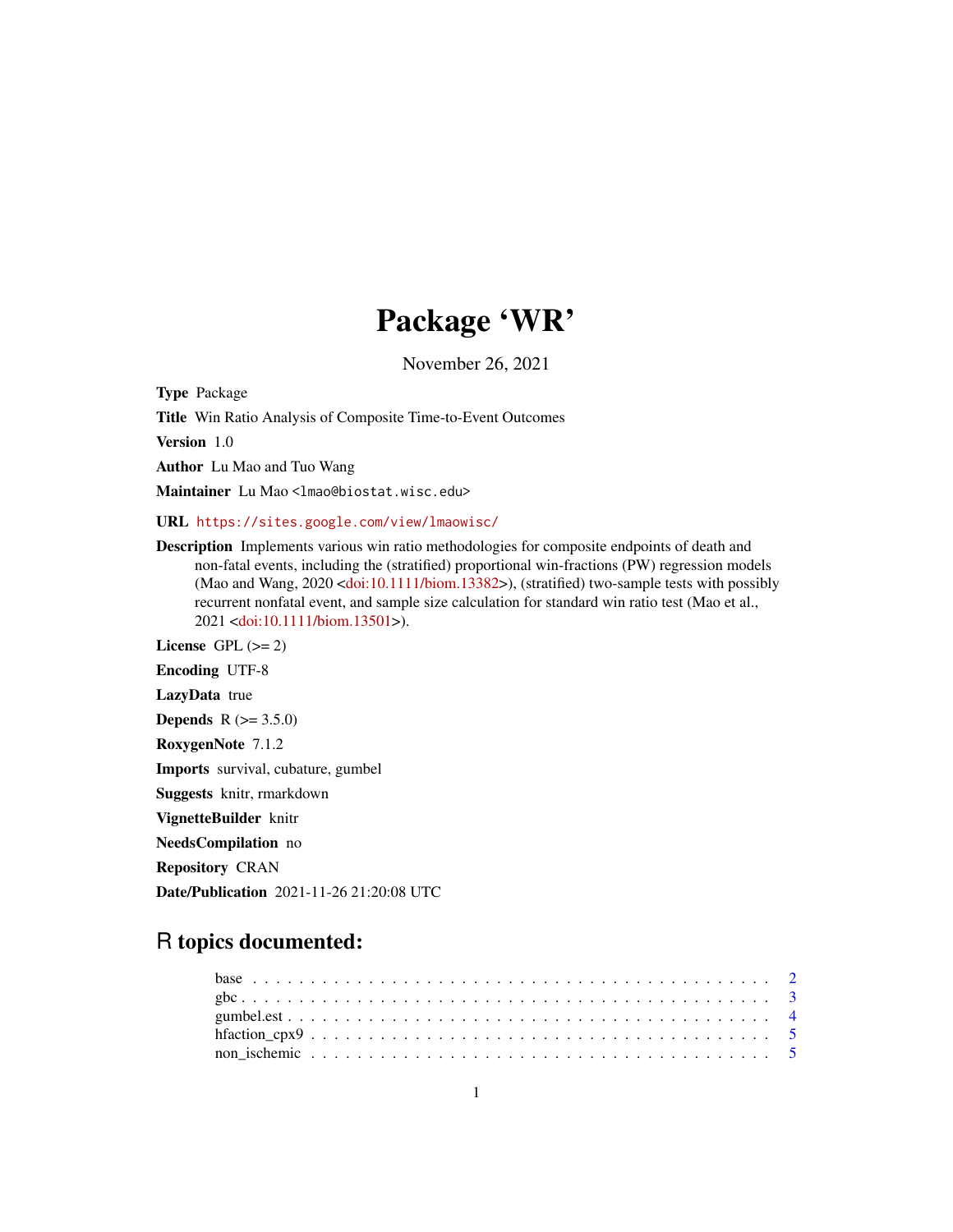## Package 'WR'

November 26, 2021

Type Package

Title Win Ratio Analysis of Composite Time-to-Event Outcomes

Version 1.0

Author Lu Mao and Tuo Wang

Maintainer Lu Mao <lmao@biostat.wisc.edu>

URL <https://sites.google.com/view/lmaowisc/>

Description Implements various win ratio methodologies for composite endpoints of death and non-fatal events, including the (stratified) proportional win-fractions (PW) regression models (Mao and Wang, 2020 [<doi:10.1111/biom.13382>](https://doi.org/10.1111/biom.13382)), (stratified) two-sample tests with possibly recurrent nonfatal event, and sample size calculation for standard win ratio test (Mao et al., 2021 [<doi:10.1111/biom.13501>](https://doi.org/10.1111/biom.13501)).

License GPL  $(>= 2)$ Encoding UTF-8 LazyData true **Depends**  $R (= 3.5.0)$ RoxygenNote 7.1.2 Imports survival, cubature, gumbel Suggests knitr, rmarkdown VignetteBuilder knitr NeedsCompilation no Repository CRAN

Date/Publication 2021-11-26 21:20:08 UTC

## R topics documented: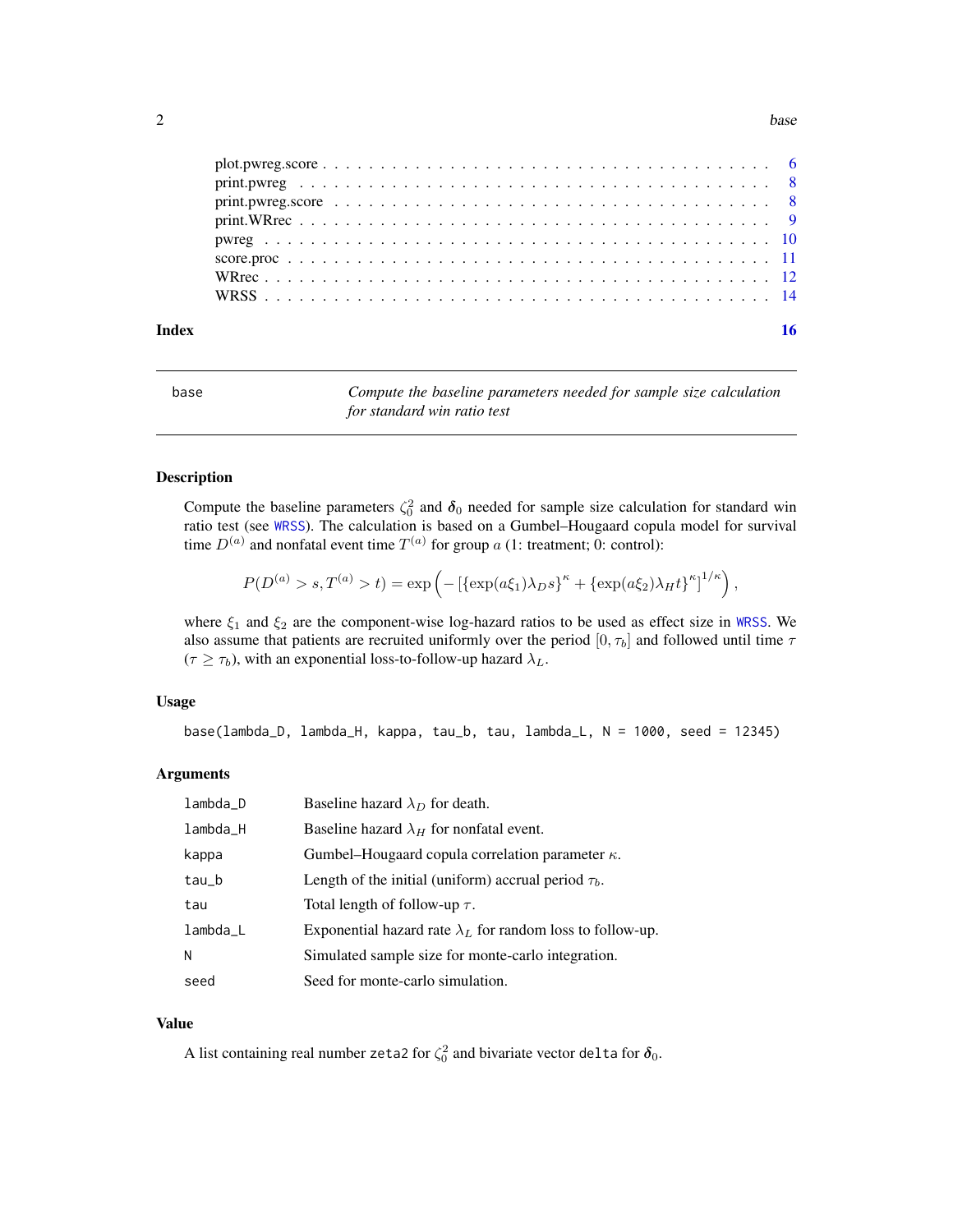<span id="page-1-0"></span>2 base

| Index |  |  |  |  |
|-------|--|--|--|--|
|       |  |  |  |  |
|       |  |  |  |  |
|       |  |  |  |  |
|       |  |  |  |  |
|       |  |  |  |  |
|       |  |  |  |  |
|       |  |  |  |  |
|       |  |  |  |  |

<span id="page-1-1"></span>

| base | Compute the baseline parameters needed for sample size calculation<br>for standard win ratio test |
|------|---------------------------------------------------------------------------------------------------|
|      |                                                                                                   |

## Description

Compute the baseline parameters  $\zeta_0^2$  and  $\delta_0$  needed for sample size calculation for standard win ratio test (see [WRSS](#page-13-1)). The calculation is based on a Gumbel–Hougaard copula model for survival time  $D^{(a)}$  and nonfatal event time  $T^{(a)}$  for group a (1: treatment; 0: control):

$$
P(D^{(a)} > s, T^{(a)} > t) = \exp \left(-\left[\{\exp(a\xi_1)\lambda_D s\right]^\kappa + \{\exp(a\xi_2)\lambda_H t\}^\kappa\right]^{1/\kappa}\right),\,
$$

where  $\xi_1$  and  $\xi_2$  are the component-wise log-hazard ratios to be used as effect size in [WRSS](#page-13-1). We also assume that patients are recruited uniformly over the period  $[0, \tau_b]$  and followed until time  $\tau$  $(\tau \geq \tau_b)$ , with an exponential loss-to-follow-up hazard  $\lambda_L$ .

## Usage

base(lambda\_D, lambda\_H, kappa, tau\_b, tau, lambda\_L, N = 1000, seed = 12345)

#### Arguments

| $lambda_D$ | Baseline hazard $\lambda_D$ for death.                            |
|------------|-------------------------------------------------------------------|
| lambda_H   | Baseline hazard $\lambda_H$ for nonfatal event.                   |
| kappa      | Gumbel–Hougaard copula correlation parameter $\kappa$ .           |
| tau_b      | Length of the initial (uniform) accrual period $\tau_b$ .         |
| tau        | Total length of follow-up $\tau$ .                                |
| lambda_L   | Exponential hazard rate $\lambda_L$ for random loss to follow-up. |
| N          | Simulated sample size for monte-carlo integration.                |
| seed       | Seed for monte-carlo simulation.                                  |

## Value

A list containing real number zeta2 for  $\zeta_0^2$  and bivariate vector delta for  $\delta_0$ .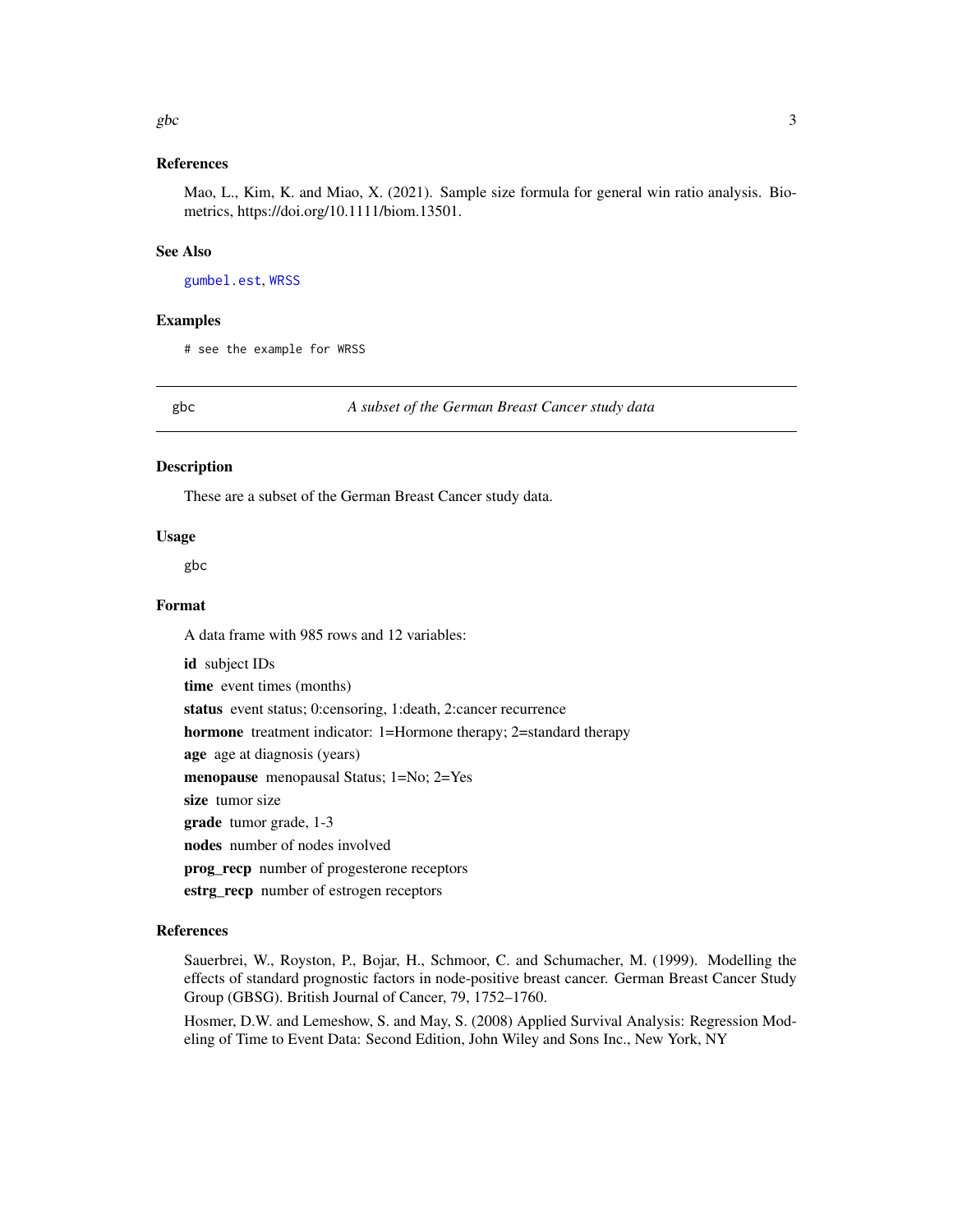#### <span id="page-2-0"></span> $gbc$  3

## References

Mao, L., Kim, K. and Miao, X. (2021). Sample size formula for general win ratio analysis. Biometrics, https://doi.org/10.1111/biom.13501.

#### See Also

[gumbel.est](#page-3-1), [WRSS](#page-13-1)

#### Examples

# see the example for WRSS

gbc *A subset of the German Breast Cancer study data*

#### Description

These are a subset of the German Breast Cancer study data.

#### Usage

gbc

## Format

A data frame with 985 rows and 12 variables:

id subject IDs time event times (months) status event status; 0:censoring, 1:death, 2:cancer recurrence hormone treatment indicator: 1=Hormone therapy; 2=standard therapy age age at diagnosis (years) menopause menopausal Status; 1=No; 2=Yes size tumor size grade tumor grade, 1-3 nodes number of nodes involved prog\_recp number of progesterone receptors

estrg\_recp number of estrogen receptors

#### References

Sauerbrei, W., Royston, P., Bojar, H., Schmoor, C. and Schumacher, M. (1999). Modelling the effects of standard prognostic factors in node-positive breast cancer. German Breast Cancer Study Group (GBSG). British Journal of Cancer, 79, 1752–1760.

Hosmer, D.W. and Lemeshow, S. and May, S. (2008) Applied Survival Analysis: Regression Modeling of Time to Event Data: Second Edition, John Wiley and Sons Inc., New York, NY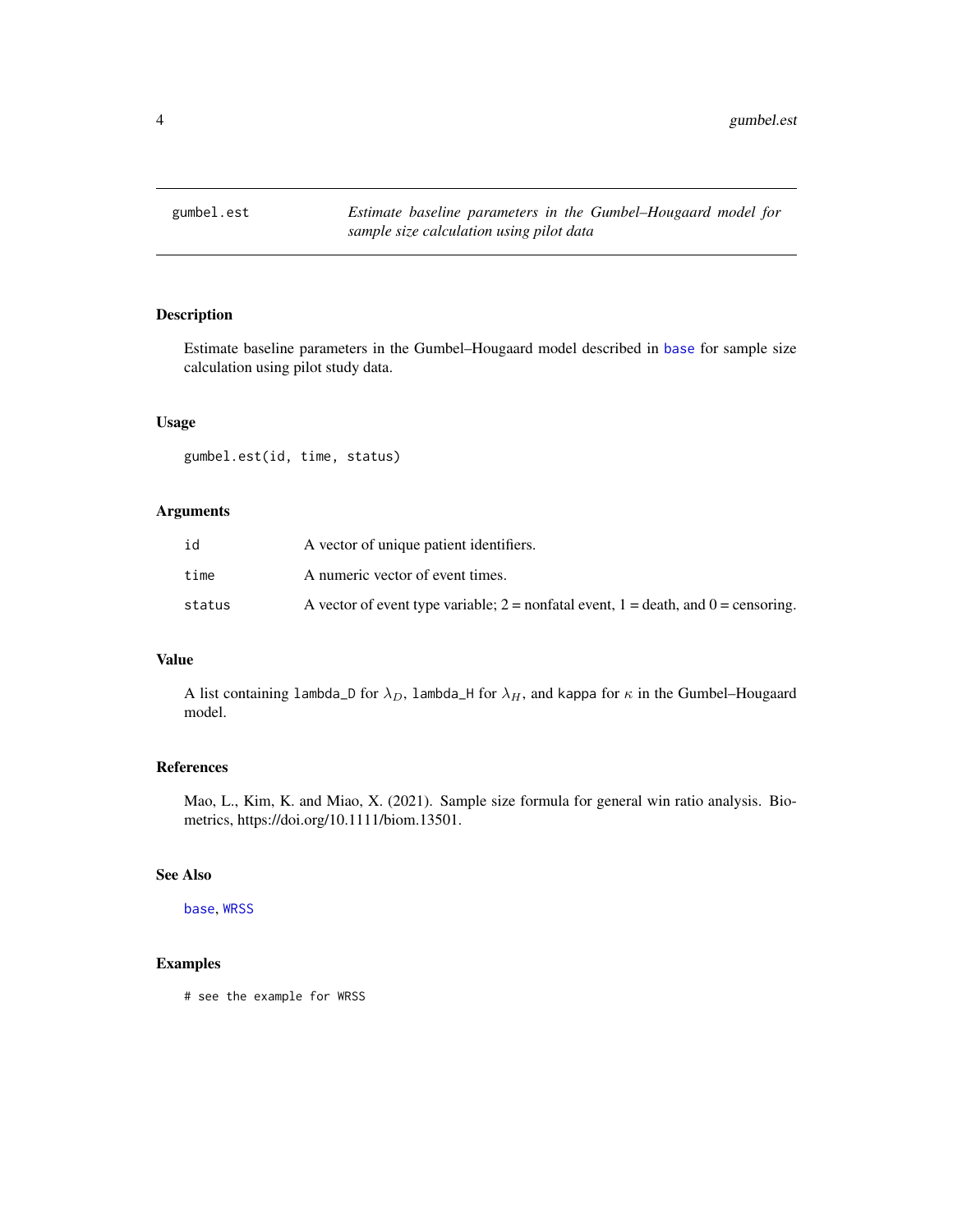<span id="page-3-1"></span><span id="page-3-0"></span>

Estimate baseline parameters in the Gumbel–Hougaard model described in [base](#page-1-1) for sample size calculation using pilot study data.

#### Usage

gumbel.est(id, time, status)

## Arguments

| id     | A vector of unique patient identifiers.                                                  |
|--------|------------------------------------------------------------------------------------------|
| time   | A numeric vector of event times.                                                         |
| status | A vector of event type variable; $2 =$ nonfatal event, $1 =$ death, and $0 =$ censoring. |

## Value

A list containing lambda\_D for  $\lambda_D$ , lambda\_H for  $\lambda_H$ , and kappa for  $\kappa$  in the Gumbel–Hougaard model.

#### References

Mao, L., Kim, K. and Miao, X. (2021). Sample size formula for general win ratio analysis. Biometrics, https://doi.org/10.1111/biom.13501.

## See Also

[base](#page-1-1), [WRSS](#page-13-1)

## Examples

# see the example for WRSS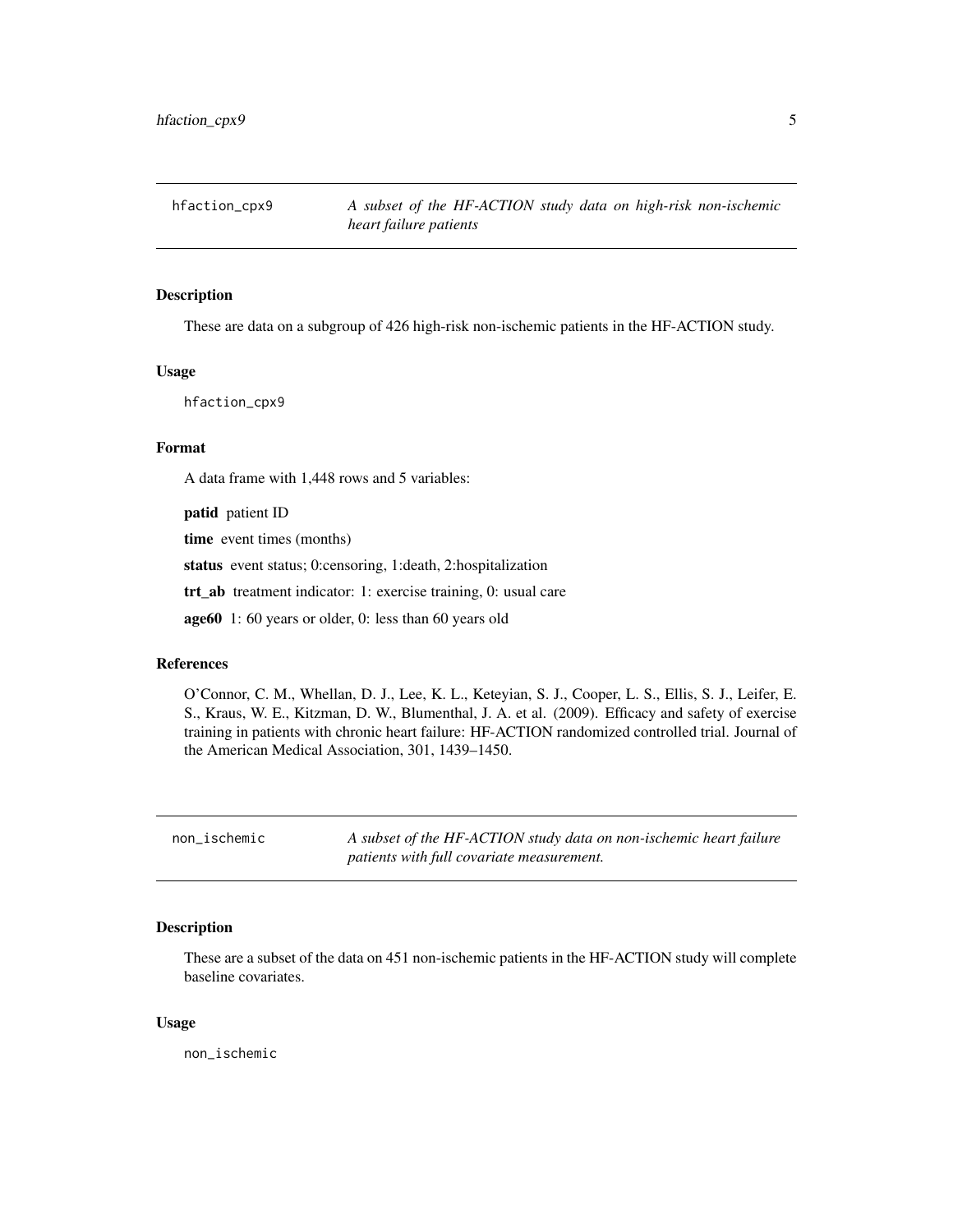<span id="page-4-0"></span>

These are data on a subgroup of 426 high-risk non-ischemic patients in the HF-ACTION study.

#### Usage

hfaction\_cpx9

#### Format

A data frame with 1,448 rows and 5 variables:

patid patient ID

time event times (months)

status event status; 0:censoring, 1:death, 2:hospitalization

trt\_ab treatment indicator: 1: exercise training, 0: usual care

age60 1: 60 years or older, 0: less than 60 years old

#### References

O'Connor, C. M., Whellan, D. J., Lee, K. L., Keteyian, S. J., Cooper, L. S., Ellis, S. J., Leifer, E. S., Kraus, W. E., Kitzman, D. W., Blumenthal, J. A. et al. (2009). Efficacy and safety of exercise training in patients with chronic heart failure: HF-ACTION randomized controlled trial. Journal of the American Medical Association, 301, 1439–1450.

non\_ischemic *A subset of the HF-ACTION study data on non-ischemic heart failure patients with full covariate measurement.*

#### Description

These are a subset of the data on 451 non-ischemic patients in the HF-ACTION study will complete baseline covariates.

#### Usage

non\_ischemic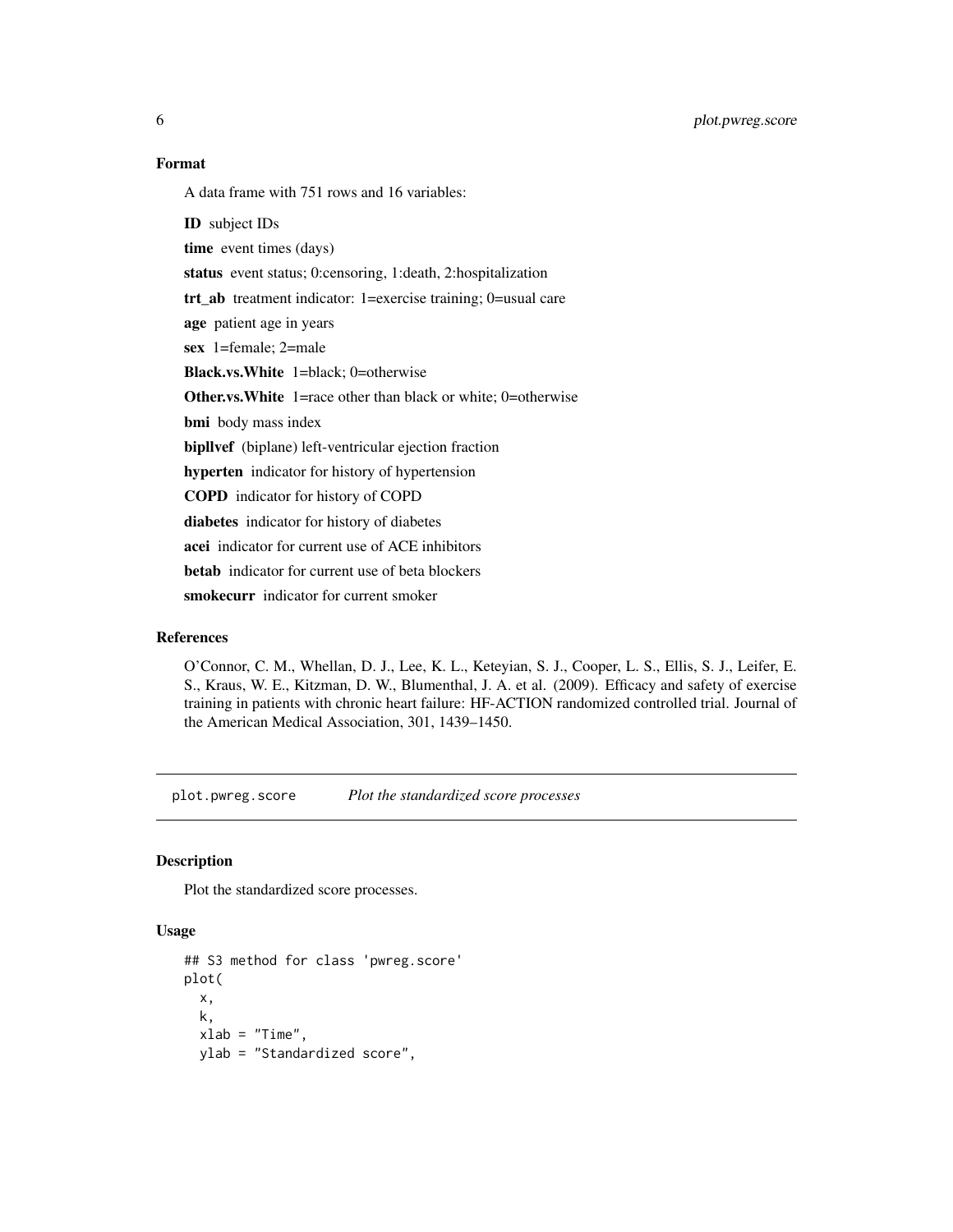<span id="page-5-0"></span>6 plot.pwreg.score

## Format

A data frame with 751 rows and 16 variables:

ID subject IDs time event times (days) status event status; 0:censoring, 1:death, 2:hospitalization trt\_ab treatment indicator: 1=exercise training; 0=usual care age patient age in years sex 1=female; 2=male Black.vs.White 1=black; 0=otherwise Other.vs.White 1=race other than black or white; 0=otherwise bmi body mass index bipllvef (biplane) left-ventricular ejection fraction hyperten indicator for history of hypertension COPD indicator for history of COPD diabetes indicator for history of diabetes acei indicator for current use of ACE inhibitors betab indicator for current use of beta blockers smokecurr indicator for current smoker

## References

O'Connor, C. M., Whellan, D. J., Lee, K. L., Keteyian, S. J., Cooper, L. S., Ellis, S. J., Leifer, E. S., Kraus, W. E., Kitzman, D. W., Blumenthal, J. A. et al. (2009). Efficacy and safety of exercise training in patients with chronic heart failure: HF-ACTION randomized controlled trial. Journal of the American Medical Association, 301, 1439–1450.

plot.pwreg.score *Plot the standardized score processes*

#### Description

Plot the standardized score processes.

## Usage

```
## S3 method for class 'pwreg.score'
plot(
  x,
  k,
  xlab = "Time",
 ylab = "Standardized score",
```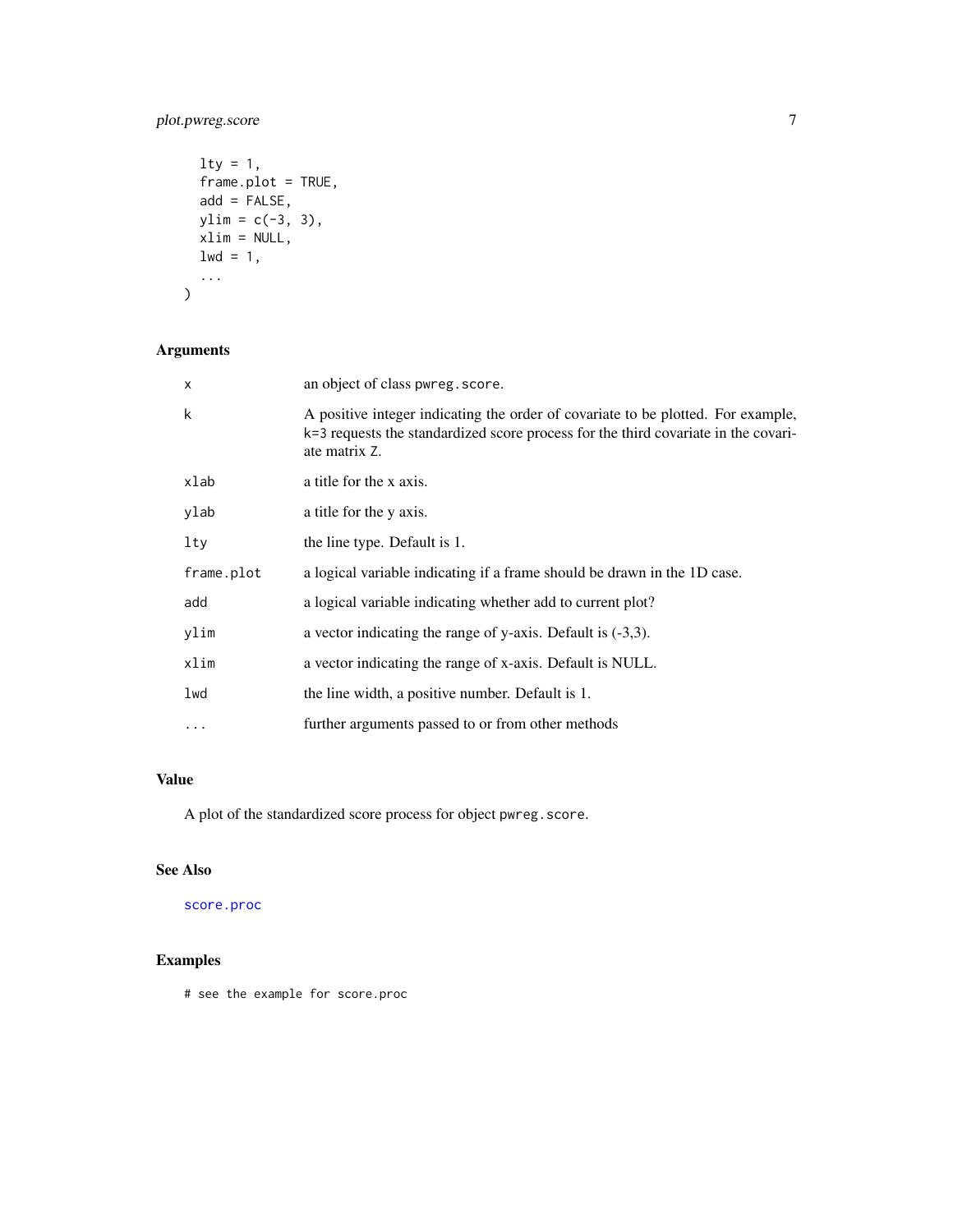## <span id="page-6-0"></span>plot.pwreg.score 7

```
\frac{1}{1}frame.plot = TRUE,
 add = FALSE,ylim = c(-3, 3),xlim = NULL,1wd = 1,...
)
```
## Arguments

| $\mathsf{x}$ | an object of class pwreg. score.                                                                                                                                                        |
|--------------|-----------------------------------------------------------------------------------------------------------------------------------------------------------------------------------------|
| k            | A positive integer indicating the order of covariate to be plotted. For example,<br>k=3 requests the standardized score process for the third covariate in the covari-<br>ate matrix Z. |
| xlab         | a title for the x axis.                                                                                                                                                                 |
| ylab         | a title for the y axis.                                                                                                                                                                 |
| lty          | the line type. Default is 1.                                                                                                                                                            |
| frame.plot   | a logical variable indicating if a frame should be drawn in the 1D case.                                                                                                                |
| add          | a logical variable indicating whether add to current plot?                                                                                                                              |
| ylim         | a vector indicating the range of y-axis. Default is $(-3,3)$ .                                                                                                                          |
| xlim         | a vector indicating the range of x-axis. Default is NULL.                                                                                                                               |
| lwd          | the line width, a positive number. Default is 1.                                                                                                                                        |
| $\ddots$     | further arguments passed to or from other methods                                                                                                                                       |

## Value

A plot of the standardized score process for object pwreg.score.

## See Also

[score.proc](#page-10-1)

## Examples

# see the example for score.proc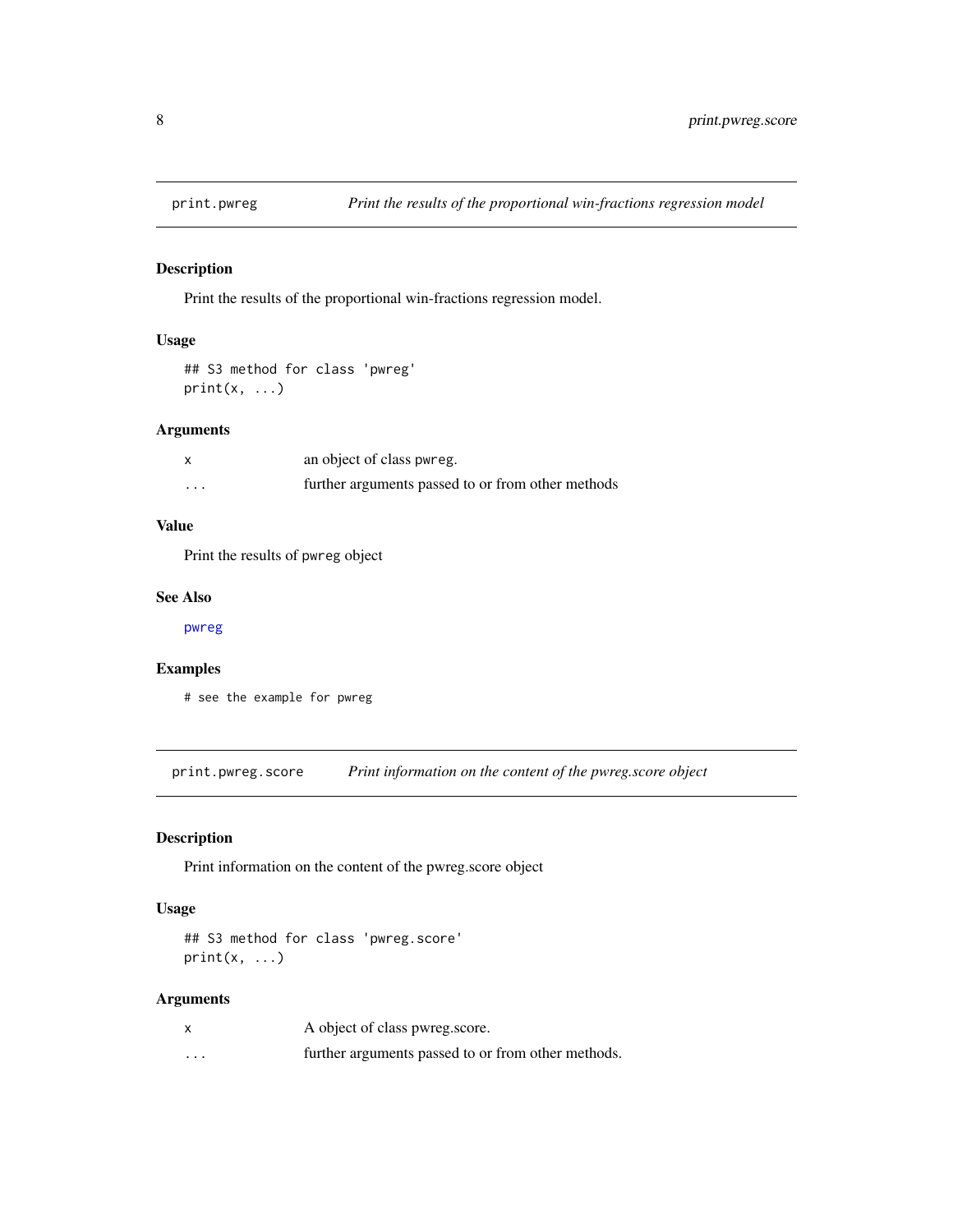<span id="page-7-1"></span><span id="page-7-0"></span>

Print the results of the proportional win-fractions regression model.

#### Usage

```
## S3 method for class 'pwreg'
print(x, \ldots)
```
## Arguments

|          | an object of class pwreg.                         |
|----------|---------------------------------------------------|
| $\cdots$ | further arguments passed to or from other methods |

## Value

Print the results of pwreg object

#### See Also

[pwreg](#page-9-1)

## Examples

# see the example for pwreg

print.pwreg.score *Print information on the content of the pwreg.score object*

## Description

Print information on the content of the pwreg.score object

## Usage

```
## S3 method for class 'pwreg.score'
print(x, ...)
```
## Arguments

|   | A object of class pwreg.score.                     |
|---|----------------------------------------------------|
| . | further arguments passed to or from other methods. |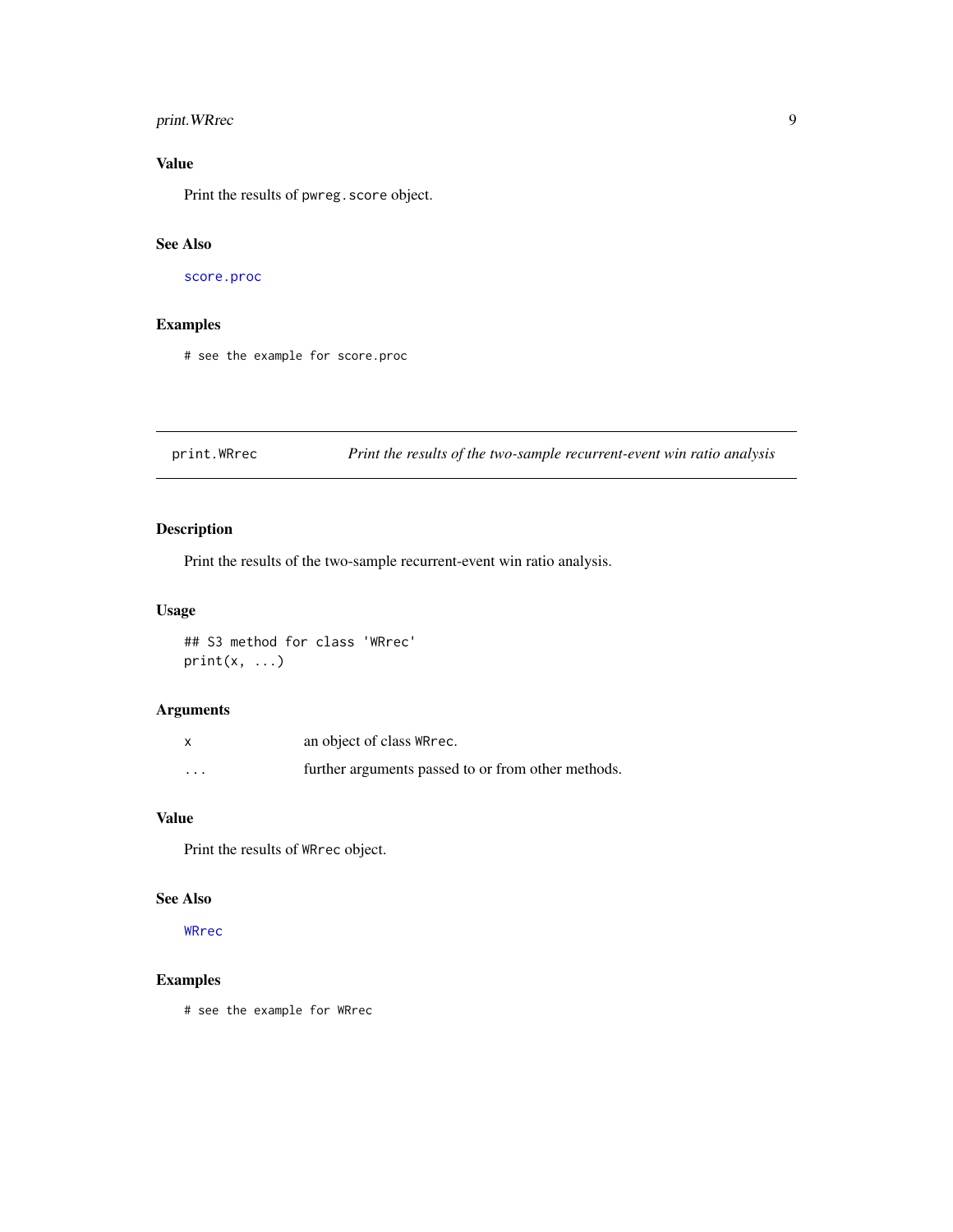## <span id="page-8-0"></span>print. WRrec 9

## Value

Print the results of pwreg. score object.

## See Also

[score.proc](#page-10-1)

## Examples

# see the example for score.proc

<span id="page-8-1"></span>print.WRrec *Print the results of the two-sample recurrent-event win ratio analysis*

## Description

Print the results of the two-sample recurrent-event win ratio analysis.

## Usage

## S3 method for class 'WRrec'  $print(x, \ldots)$ 

## Arguments

|                         | an object of class WR rec.                         |
|-------------------------|----------------------------------------------------|
| $\cdot$ $\cdot$ $\cdot$ | further arguments passed to or from other methods. |

## Value

Print the results of WRrec object.

## See Also

[WRrec](#page-11-1)

## Examples

# see the example for WRrec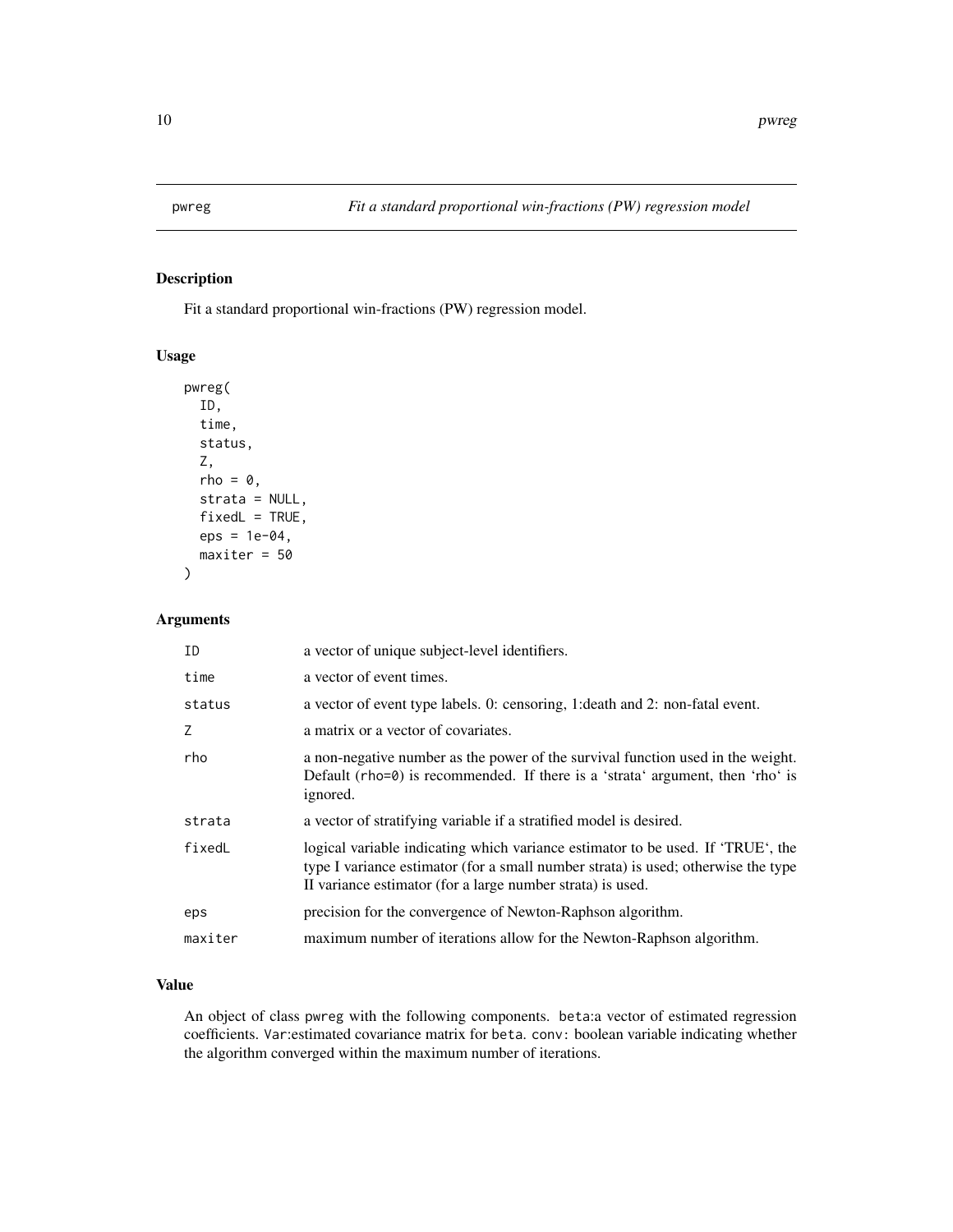<span id="page-9-1"></span><span id="page-9-0"></span>

Fit a standard proportional win-fractions (PW) regression model.

#### Usage

```
pwreg(
  ID,
  time,
  status,
  Z,
  rho = \theta,
  strata = NULL,
  fixedL = TRUE,eps = 1e-04,
  maxiter = 50
\mathcal{L}
```
## Arguments

| ID      | a vector of unique subject-level identifiers.                                                                                                                                                                                      |
|---------|------------------------------------------------------------------------------------------------------------------------------------------------------------------------------------------------------------------------------------|
| time    | a vector of event times.                                                                                                                                                                                                           |
| status  | a vector of event type labels. 0: censoring, 1: death and 2: non-fatal event.                                                                                                                                                      |
| 7       | a matrix or a vector of covariates.                                                                                                                                                                                                |
| rho     | a non-negative number as the power of the survival function used in the weight.<br>Default (rho=0) is recommended. If there is a 'strata' argument, then 'rho' is<br>ignored.                                                      |
| strata  | a vector of stratifying variable if a stratified model is desired.                                                                                                                                                                 |
| fixedL  | logical variable indicating which variance estimator to be used. If 'TRUE', the<br>type I variance estimator (for a small number strata) is used; otherwise the type<br>II variance estimator (for a large number strata) is used. |
| eps     | precision for the convergence of Newton-Raphson algorithm.                                                                                                                                                                         |
| maxiter | maximum number of iterations allow for the Newton-Raphson algorithm.                                                                                                                                                               |

## Value

An object of class pwreg with the following components. beta:a vector of estimated regression coefficients. Var:estimated covariance matrix for beta. conv: boolean variable indicating whether the algorithm converged within the maximum number of iterations.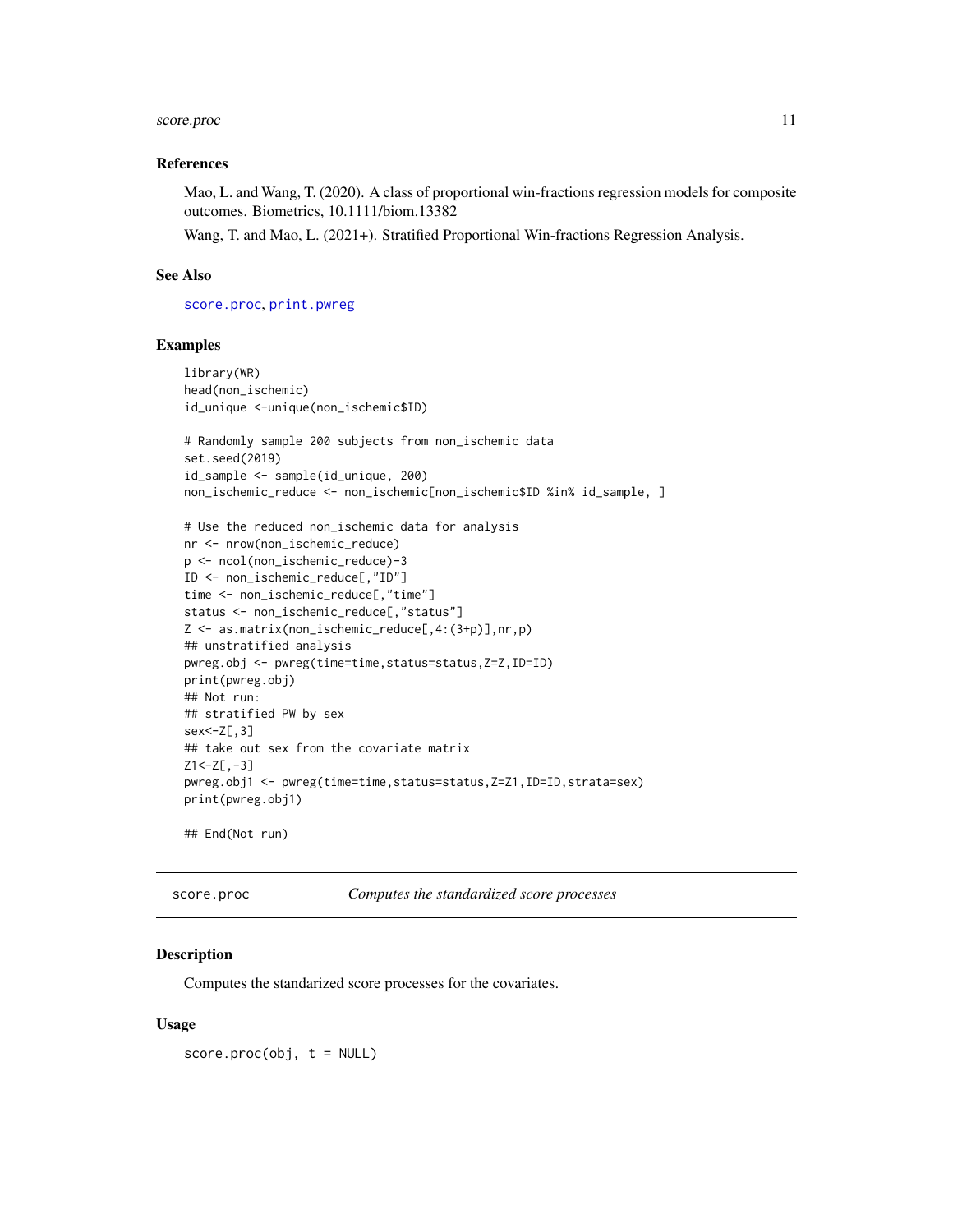## <span id="page-10-0"></span>score.proc 11

#### References

Mao, L. and Wang, T. (2020). A class of proportional win-fractions regression models for composite outcomes. Biometrics, 10.1111/biom.13382

Wang, T. and Mao, L. (2021+). Stratified Proportional Win-fractions Regression Analysis.

#### See Also

[score.proc](#page-10-1), [print.pwreg](#page-7-1)

#### Examples

```
library(WR)
head(non_ischemic)
id_unique <-unique(non_ischemic$ID)
# Randomly sample 200 subjects from non_ischemic data
set.seed(2019)
id_sample <- sample(id_unique, 200)
non_ischemic_reduce <- non_ischemic[non_ischemic$ID %in% id_sample, ]
# Use the reduced non_ischemic data for analysis
nr <- nrow(non_ischemic_reduce)
p <- ncol(non_ischemic_reduce)-3
ID <- non_ischemic_reduce[,"ID"]
time <- non_ischemic_reduce[,"time"]
status <- non_ischemic_reduce[,"status"]
Z <- as.matrix(non_ischemic_reduce[,4:(3+p)],nr,p)
## unstratified analysis
pwreg.obj <- pwreg(time=time,status=status,Z=Z,ID=ID)
print(pwreg.obj)
## Not run:
## stratified PW by sex
sex<-Z[,3]
## take out sex from the covariate matrix
Z1 < -Z[\,-3]pwreg.obj1 <- pwreg(time=time,status=status,Z=Z1,ID=ID,strata=sex)
print(pwreg.obj1)
## End(Not run)
```
<span id="page-10-1"></span>score.proc *Computes the standardized score processes*

#### Description

Computes the standarized score processes for the covariates.

#### Usage

 $score.proc(obj, t = NULL)$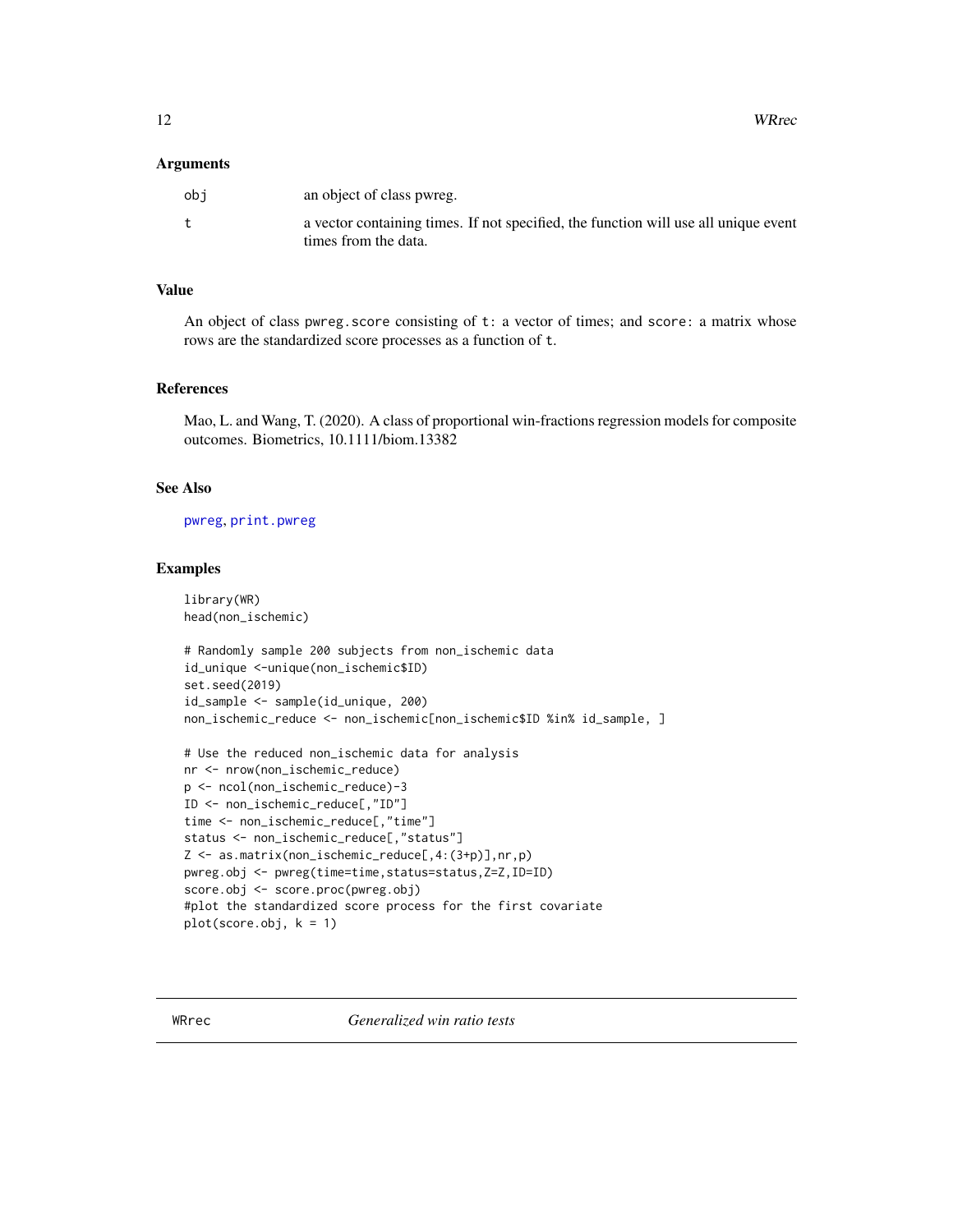<span id="page-11-0"></span>12 WRrec

#### **Arguments**

| obi | an object of class pwreg.                                                           |
|-----|-------------------------------------------------------------------------------------|
|     | a vector containing times. If not specified, the function will use all unique event |
|     | times from the data.                                                                |

## Value

An object of class pwreg. score consisting of  $t:$  a vector of times; and score: a matrix whose rows are the standardized score processes as a function of t.

#### References

Mao, L. and Wang, T. (2020). A class of proportional win-fractions regression models for composite outcomes. Biometrics, 10.1111/biom.13382

## See Also

[pwreg](#page-9-1), [print.pwreg](#page-7-1)

#### Examples

library(WR) head(non\_ischemic)

```
# Randomly sample 200 subjects from non_ischemic data
id_unique <-unique(non_ischemic$ID)
set.seed(2019)
id_sample <- sample(id_unique, 200)
non_ischemic_reduce <- non_ischemic[non_ischemic$ID %in% id_sample, ]
```

```
# Use the reduced non_ischemic data for analysis
nr <- nrow(non_ischemic_reduce)
p <- ncol(non_ischemic_reduce)-3
ID <- non_ischemic_reduce[,"ID"]
time <- non_ischemic_reduce[,"time"]
status <- non_ischemic_reduce[,"status"]
Z <- as.matrix(non_ischemic_reduce[,4:(3+p)],nr,p)
pwreg.obj <- pwreg(time=time,status=status,Z=Z,ID=ID)
score.obj <- score.proc(pwreg.obj)
#plot the standardized score process for the first covariate
plot(score.obj, k = 1)
```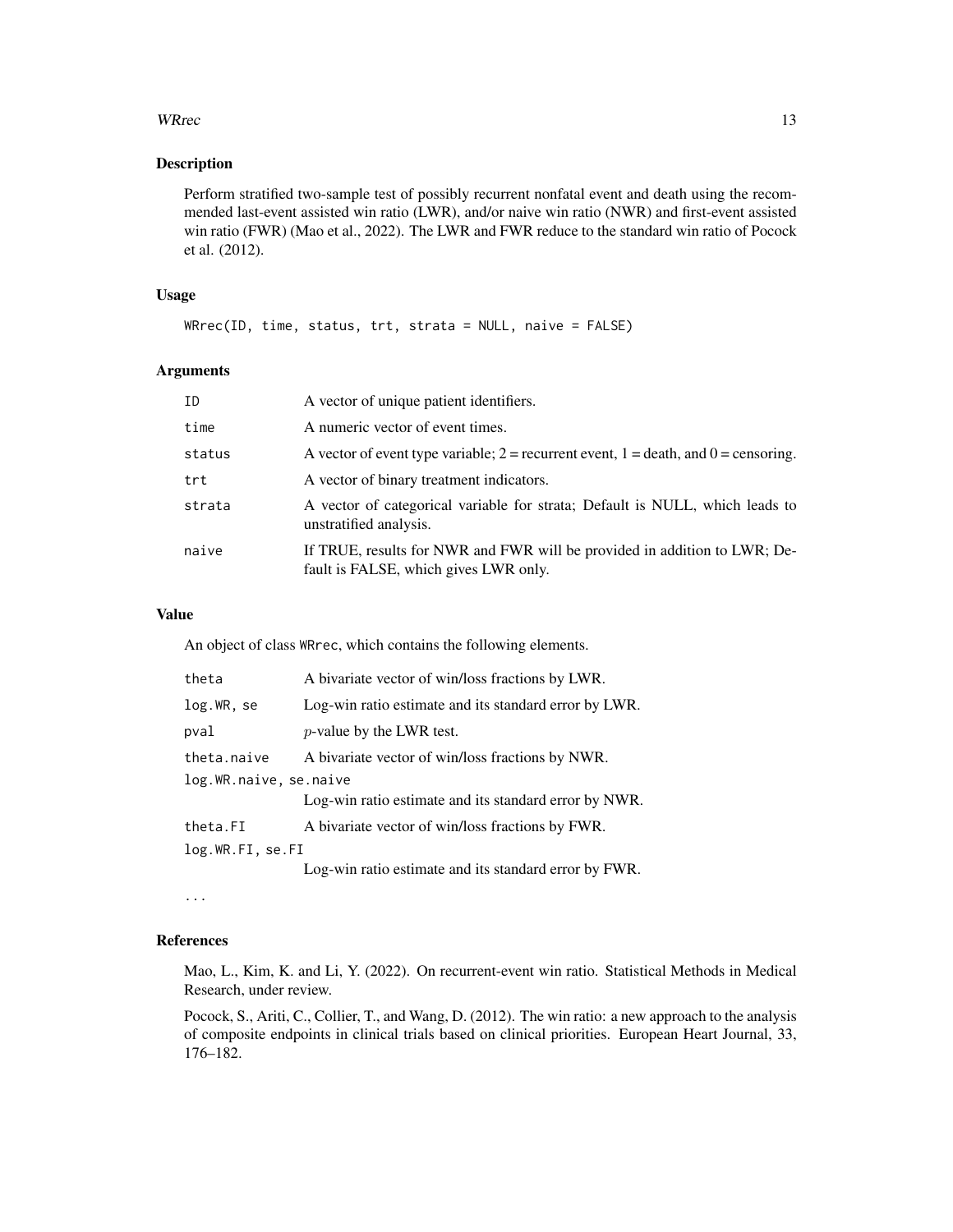#### WRrec 13

## Description

Perform stratified two-sample test of possibly recurrent nonfatal event and death using the recommended last-event assisted win ratio (LWR), and/or naive win ratio (NWR) and first-event assisted win ratio (FWR) (Mao et al., 2022). The LWR and FWR reduce to the standard win ratio of Pocock et al. (2012).

#### Usage

```
WRrec(ID, time, status, trt, strata = NULL, naive = FALSE)
```
#### Arguments

| ID     | A vector of unique patient identifiers.                                                                            |
|--------|--------------------------------------------------------------------------------------------------------------------|
| time   | A numeric vector of event times.                                                                                   |
| status | A vector of event type variable; $2$ = recurrent event, $1$ = death, and $0$ = censoring.                          |
| trt    | A vector of binary treatment indicators.                                                                           |
| strata | A vector of categorical variable for strata; Default is NULL, which leads to<br>unstratified analysis.             |
| naive  | If TRUE, results for NWR and FWR will be provided in addition to LWR; De-<br>fault is FALSE, which gives LWR only. |

#### Value

An object of class WRrec, which contains the following elements.

| theta                  | A bivariate vector of win/loss fractions by LWR.      |
|------------------------|-------------------------------------------------------|
| log.WR, se             | Log-win ratio estimate and its standard error by LWR. |
| pval                   | <i>p</i> -value by the LWR test.                      |
| theta.naive            | A bivariate vector of win/loss fractions by NWR.      |
| log.WR.naive, se.naive |                                                       |
|                        | Log-win ratio estimate and its standard error by NWR. |
| theta.FI               | A bivariate vector of win/loss fractions by FWR.      |
| log.WR.FI, se.FI       |                                                       |
|                        | Log-win ratio estimate and its standard error by FWR. |

...

#### References

Mao, L., Kim, K. and Li, Y. (2022). On recurrent-event win ratio. Statistical Methods in Medical Research, under review.

Pocock, S., Ariti, C., Collier, T., and Wang, D. (2012). The win ratio: a new approach to the analysis of composite endpoints in clinical trials based on clinical priorities. European Heart Journal, 33, 176–182.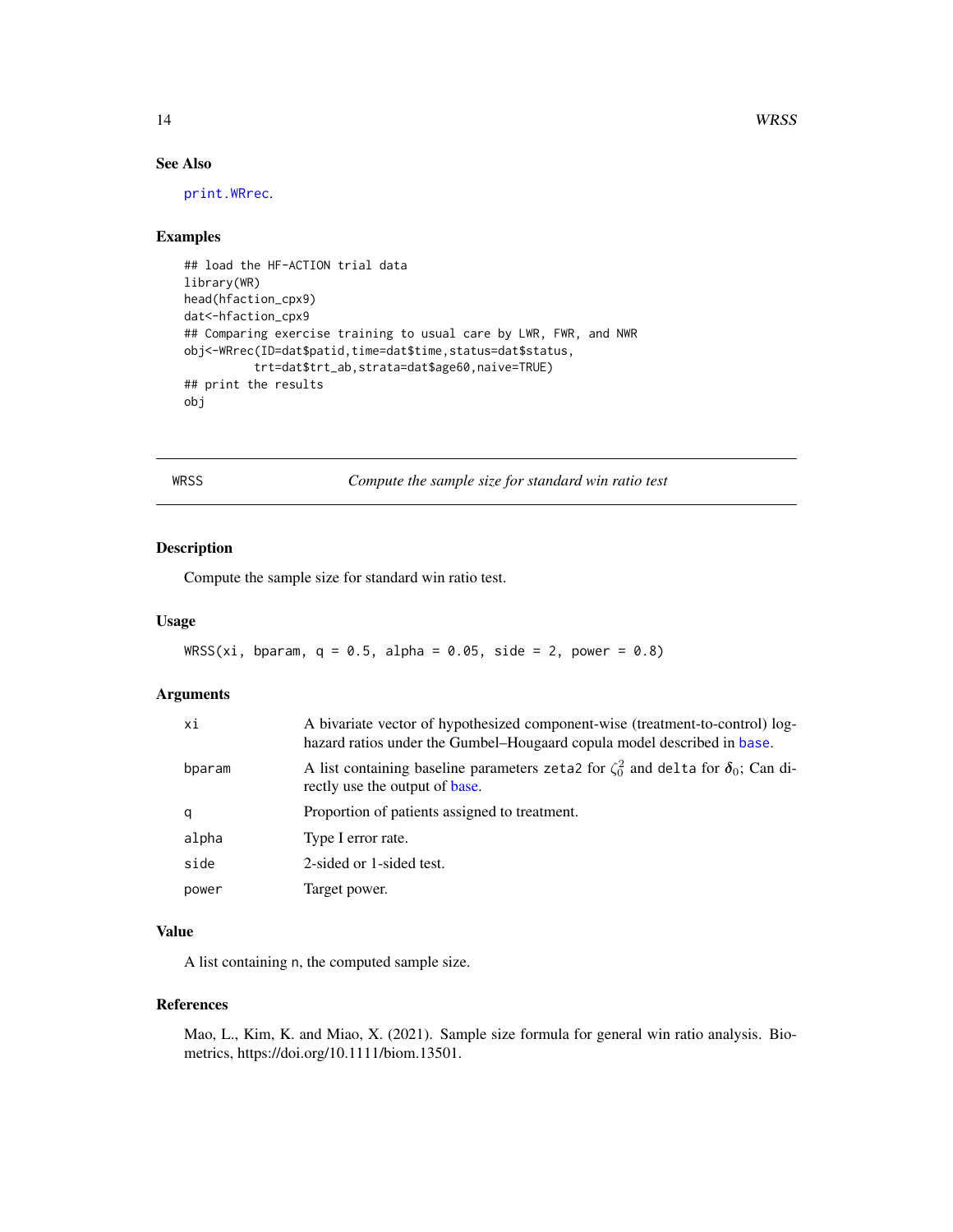## See Also

[print.WRrec](#page-8-1).

#### Examples

```
## load the HF-ACTION trial data
library(WR)
head(hfaction_cpx9)
dat<-hfaction_cpx9
## Comparing exercise training to usual care by LWR, FWR, and NWR
obj<-WRrec(ID=dat$patid,time=dat$time,status=dat$status,
          trt=dat$trt_ab,strata=dat$age60,naive=TRUE)
## print the results
obj
```
<span id="page-13-1"></span>WRSS *Compute the sample size for standard win ratio test*

## Description

Compute the sample size for standard win ratio test.

#### Usage

```
WRSS(xi, bparam, q = 0.5, alpha = 0.05, side = 2, power = 0.8)
```
## Arguments

| хi     | A bivariate vector of hypothesized component-wise (treatment-to-control) log-<br>hazard ratios under the Gumbel–Hougaard copula model described in base. |
|--------|----------------------------------------------------------------------------------------------------------------------------------------------------------|
| bparam | A list containing baseline parameters zeta2 for $\zeta_0^2$ and delta for $\delta_0$ ; Can di-<br>rectly use the output of base.                         |
| q      | Proportion of patients assigned to treatment.                                                                                                            |
| alpha  | Type I error rate.                                                                                                                                       |
| side   | 2-sided or 1-sided test.                                                                                                                                 |
| power  | Target power.                                                                                                                                            |

## Value

A list containing n, the computed sample size.

#### References

Mao, L., Kim, K. and Miao, X. (2021). Sample size formula for general win ratio analysis. Biometrics, https://doi.org/10.1111/biom.13501.

<span id="page-13-0"></span>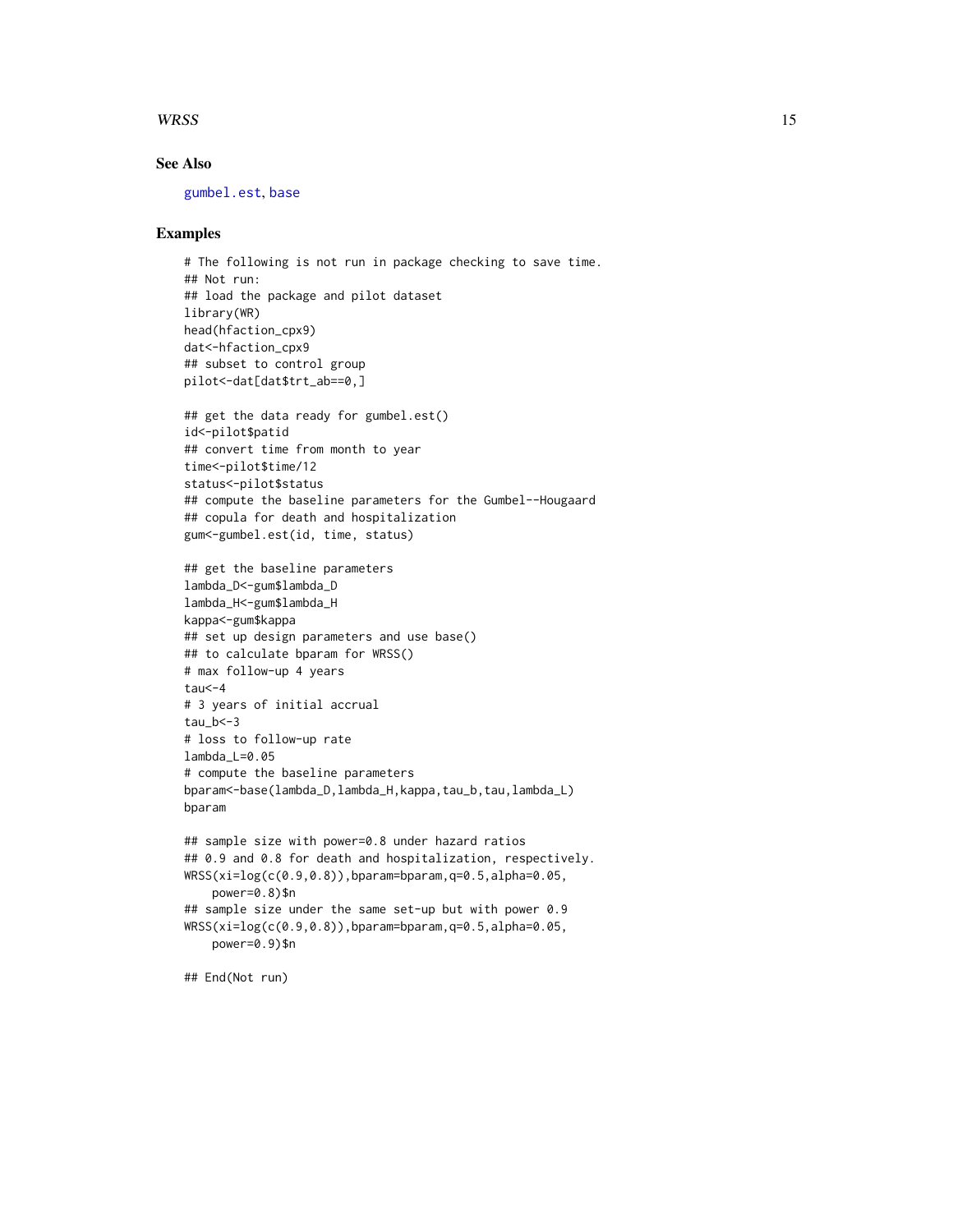#### <span id="page-14-0"></span> $WRSS$  15

## See Also

[gumbel.est](#page-3-1), [base](#page-1-1)

#### Examples

```
# The following is not run in package checking to save time.
## Not run:
## load the package and pilot dataset
library(WR)
head(hfaction_cpx9)
dat<-hfaction_cpx9
## subset to control group
pilot<-dat[dat$trt_ab==0,]
## get the data ready for gumbel.est()
id<-pilot$patid
## convert time from month to year
time<-pilot$time/12
status<-pilot$status
## compute the baseline parameters for the Gumbel--Hougaard
## copula for death and hospitalization
gum<-gumbel.est(id, time, status)
## get the baseline parameters
lambda_D<-gum$lambda_D
lambda_H<-gum$lambda_H
kappa<-gum$kappa
## set up design parameters and use base()
## to calculate bparam for WRSS()
# max follow-up 4 years
tau<-4# 3 years of initial accrual
tau_b < -3# loss to follow-up rate
lambda_L=0.05
# compute the baseline parameters
bparam<-base(lambda_D,lambda_H,kappa,tau_b,tau,lambda_L)
bparam
## sample size with power=0.8 under hazard ratios
## 0.9 and 0.8 for death and hospitalization, respectively.
WRSS(xi=log(c(0.9,0.8)),bparam=bparam,q=0.5,alpha=0.05,
    power=0.8)$n
## sample size under the same set-up but with power 0.9
WRSS(xi=log(c(0.9,0.8)),bparam=bparam,q=0.5,alpha=0.05,
    power=0.9)$n
```
## End(Not run)